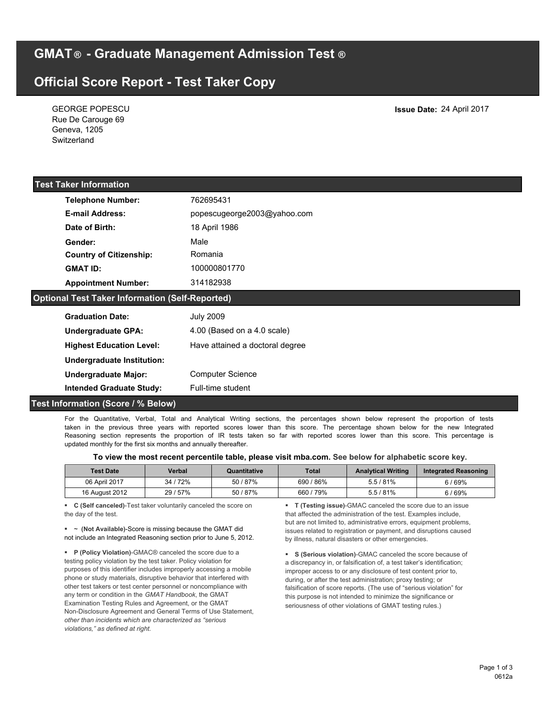**GMAT ® - Graduate Management Admission Test ®**

# **Official Score Report - Test Taker Copy**

GEORGE POPESCU

| Rue De Carouge 69<br>Geneva, 1205<br>Switzerland       |                                 |  |  |  |
|--------------------------------------------------------|---------------------------------|--|--|--|
| <b>Test Taker Information</b>                          |                                 |  |  |  |
| <b>Telephone Number:</b>                               | 762695431                       |  |  |  |
| <b>E-mail Address:</b>                                 | popescugeorge2003@yahoo.com     |  |  |  |
| Date of Birth:                                         | 18 April 1986                   |  |  |  |
| Gender:                                                | Male                            |  |  |  |
| <b>Country of Citizenship:</b>                         | Romania                         |  |  |  |
| <b>GMAT ID:</b>                                        | 100000801770                    |  |  |  |
| <b>Appointment Number:</b>                             | 314182938                       |  |  |  |
| <b>Optional Test Taker Information (Self-Reported)</b> |                                 |  |  |  |
| <b>Graduation Date:</b>                                | <b>July 2009</b>                |  |  |  |
| <b>Undergraduate GPA:</b>                              | 4.00 (Based on a 4.0 scale)     |  |  |  |
| <b>Highest Education Level:</b>                        | Have attained a doctoral degree |  |  |  |
| <b>Undergraduate Institution:</b>                      |                                 |  |  |  |
| <b>Undergraduate Major:</b>                            | <b>Computer Science</b>         |  |  |  |
| <b>Intended Graduate Study:</b>                        | Full-time student               |  |  |  |

# **Test Information (Score / % Below)**

For the Quantitative, Verbal, Total and Analytical Writing sections, the percentages shown below represent the proportion of tests taken in the previous three years with reported scores lower than this score. The percentage shown below for the new Integrated Reasoning section represents the proportion of IR tests taken so far with reported scores lower than this score. This percentage is updated monthly for the first six months and annually thereafter.

| <b>Test Date</b> | Verbal   | Quantitative | <b>Total</b> | <b>Analytical Writing</b> | Integrated Reasoning |
|------------------|----------|--------------|--------------|---------------------------|----------------------|
| 06 April 2017    | 34 / 72% | 50 / 87%     | 690/86%      | 5.5/81%                   | 6 / 69%              |
| 16 August 2012   | 29 / 57% | 50/87%       | 660 / 79%    | $5.5/81\%$                | 6/69%                |

§ **C (Self canceled)**-Test taker voluntarily canceled the score on the day of the test.

§ ~ **(Not Available)**-Score is missing because the GMAT did not include an Integrated Reasoning section prior to June 5, 2012.

§ **P (Policy Violation)**-GMAC® canceled the score due to a testing policy violation by the test taker. Policy violation for purposes of this identifier includes improperly accessing a mobile phone or study materials, disruptive behavior that interfered with other test takers or test center personnel or noncompliance with any term or condition in the *GMAT Handbook*, the GMAT Examination Testing Rules and Agreement, or the GMAT Non-Disclosure Agreement and General Terms of Use Statement, *other than incidents which are characterized as "serious violations," as defined at right.*

§ **T (Testing issue)**-GMAC canceled the score due to an issue that affected the administration of the test. Examples include, but are not limited to, administrative errors, equipment problems, issues related to registration or payment, and disruptions caused by illness, natural disasters or other emergencies.

§ **S (Serious violation)**-GMAC canceled the score because of a discrepancy in, or falsification of, a test taker's identification; improper access to or any disclosure of test content prior to, during, or after the test administration; proxy testing; or falsification of score reports. (The use of "serious violation" for this purpose is not intended to minimize the significance or seriousness of other violations of GMAT testing rules.)

**Issue Date:** 24 April 2017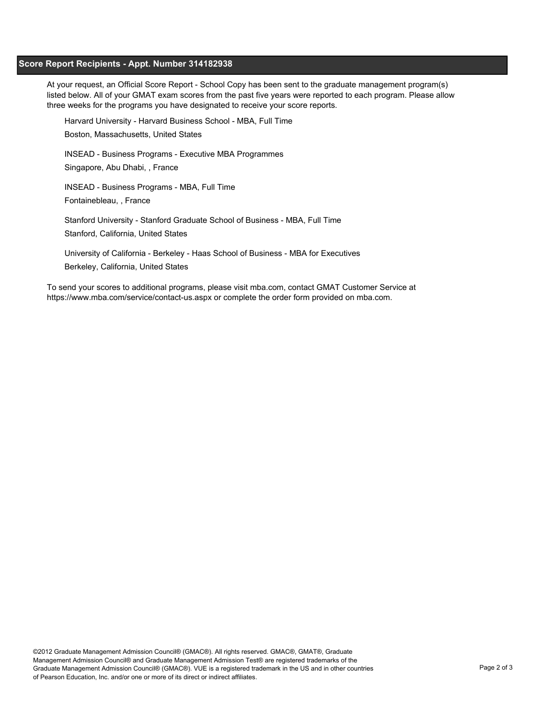## **Score Report Recipients - Appt. Number 314182938**

At your request, an Official Score Report - School Copy has been sent to the graduate management program(s) listed below. All of your GMAT exam scores from the past five years were reported to each program. Please allow three weeks for the programs you have designated to receive your score reports.

Harvard University - Harvard Business School - MBA, Full Time

Boston, Massachusetts, United States

INSEAD - Business Programs - Executive MBA Programmes

Singapore, Abu Dhabi, , France

INSEAD - Business Programs - MBA, Full Time

Fontainebleau, , France

Stanford University - Stanford Graduate School of Business - MBA, Full Time Stanford, California, United States

University of California - Berkeley - Haas School of Business - MBA for Executives Berkeley, California, United States

To send your scores to additional programs, please visit mba.com, contact GMAT Customer Service at https://www.mba.com/service/contact-us.aspx or complete the order form provided on mba.com.